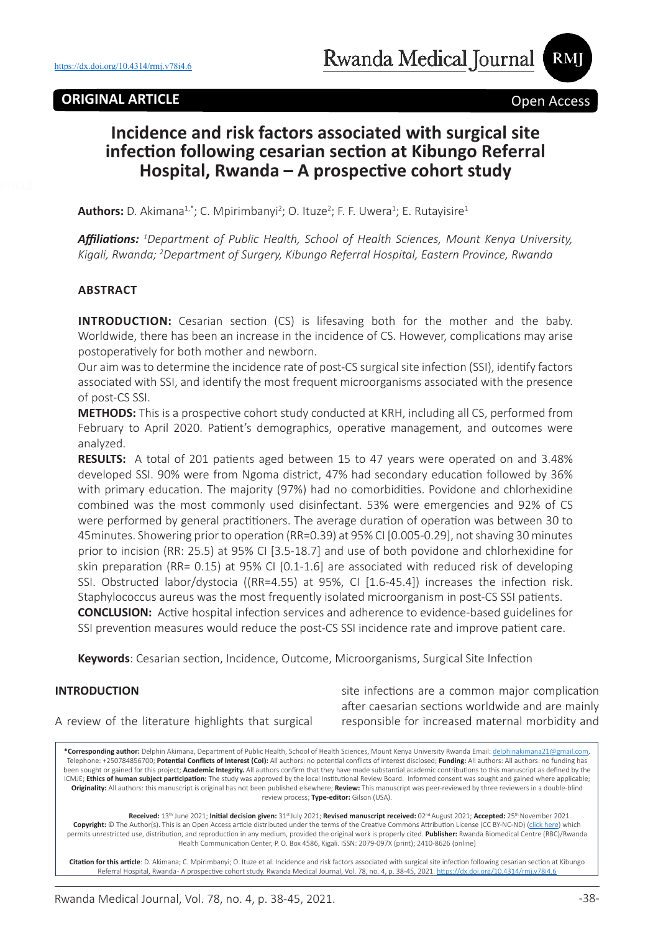## **ORIGINAL ARTICLE Open Access**

RMI

# **Incidence and risk factors associated with surgical site infection following cesarian section at Kibungo Referral Hospital, Rwanda – A prospective cohort study**

**Authors:** D. Akimana<sup>1,\*</sup>; C. Mpirimbanyi<sup>2</sup>; O. Ituze<sup>2</sup>; F. F. Uwera<sup>1</sup>; E. Rutayisire<sup>1</sup>

*Affiliations: <sup>1</sup> Department of Public Health, School of Health Sciences, Mount Kenya University, Kigali, Rwanda; 2 Department of Surgery, Kibungo Referral Hospital, Eastern Province, Rwanda*

#### **ABSTRACT**

**INTRODUCTION:** Cesarian section (CS) is lifesaving both for the mother and the baby. Worldwide, there has been an increase in the incidence of CS. However, complications may arise postoperatively for both mother and newborn.

Our aim was to determine the incidence rate of post-CS surgical site infection (SSI), identify factors associated with SSI, and identify the most frequent microorganisms associated with the presence of post-CS SSI.

**METHODS:** This is a prospective cohort study conducted at KRH, including all CS, performed from February to April 2020. Patient's demographics, operative management, and outcomes were analyzed.

**RESULTS:** A total of 201 patients aged between 15 to 47 years were operated on and 3.48% developed SSI. 90% were from Ngoma district, 47% had secondary education followed by 36% with primary education. The majority (97%) had no comorbidities. Povidone and chlorhexidine combined was the most commonly used disinfectant. 53% were emergencies and 92% of CS were performed by general practitioners. The average duration of operation was between 30 to 45minutes. Showering prior to operation (RR=0.39) at 95% CI [0.005-0.29], not shaving 30 minutes prior to incision (RR: 25.5) at 95% CI [3.5-18.7] and use of both povidone and chlorhexidine for skin preparation (RR= 0.15) at 95% CI [0.1-1.6] are associated with reduced risk of developing SSI. Obstructed labor/dystocia ((RR=4.55) at 95%, CI [1.6-45.4]) increases the infection risk. Staphylococcus aureus was the most frequently isolated microorganism in post-CS SSI patients. **CONCLUSION:** Active hospital infection services and adherence to evidence-based guidelines for SSI prevention measures would reduce the post-CS SSI incidence rate and improve patient care.

**Keywords**: Cesarian section, Incidence, Outcome, Microorganisms, Surgical Site Infection

#### **INTRODUCTION**

site infections are a common major complication after caesarian sections worldwide and are mainly responsible for increased maternal morbidity and

A review of the literature highlights that surgical

**\*Corresponding author:** Delphin Akimana, Department of Public Health, School of Health Sciences, Mount Kenya University Rwanda Email: delphinakimana21@gmail.com, Telephone: +250784856700; **Potential Conflicts of Interest (CoI):** All authors: no potential conflicts of interest disclosed; **Funding:** All authors: All authors: no funding has been sought or gained for this project; **Academic Integrity.** All authors confirm that they have made substantial academic contributions to this manuscript as defined by the ICMJE; **Ethics of human subject participation:** The study was approved by the local Institutional Review Board. Informed consent was sought and gained where applicable; **Originality:** All authors: this manuscript is original has not been published elsewhere; **Review:** This manuscript was peer-reviewed by three reviewers in a double-blind review process; **Type-editor:** Gilson (USA).

Received: 13<sup>th</sup> June 2021; Initial decision given: 31st July 2021; Revised manuscript received: 02<sup>nd</sup> August 2021; Accepted: 25<sup>th</sup> November 2021. **Copyright:** © The Author(s). This is an Open Access article distributed under the terms of the Creative Commons Attribution License (CC BY-NC-ND) (click here) which permits unrestricted use, distribution, and reproduction in any medium, provided the original work is properly cited. **Publisher:** Rwanda Biomedical Centre (RBC)/Rwanda Health Communication Center, P. O. Box 4586, Kigali. ISSN: 2079-097X (print); 2410-8626 (online)

**Citation for this article**: D. Akimana; C. Mpirimbanyi; O. Ituze et al. Incidence and risk factors associated with surgical site infection following cesarian section at Kibungo Referral Hospital, Rwanda-A prospective cohort study. Rwanda Medical Journal, Vol. 78, no. 4, p. 38-45, 2021. https://dx.doi.org/10.4314/rmj.v78i4.6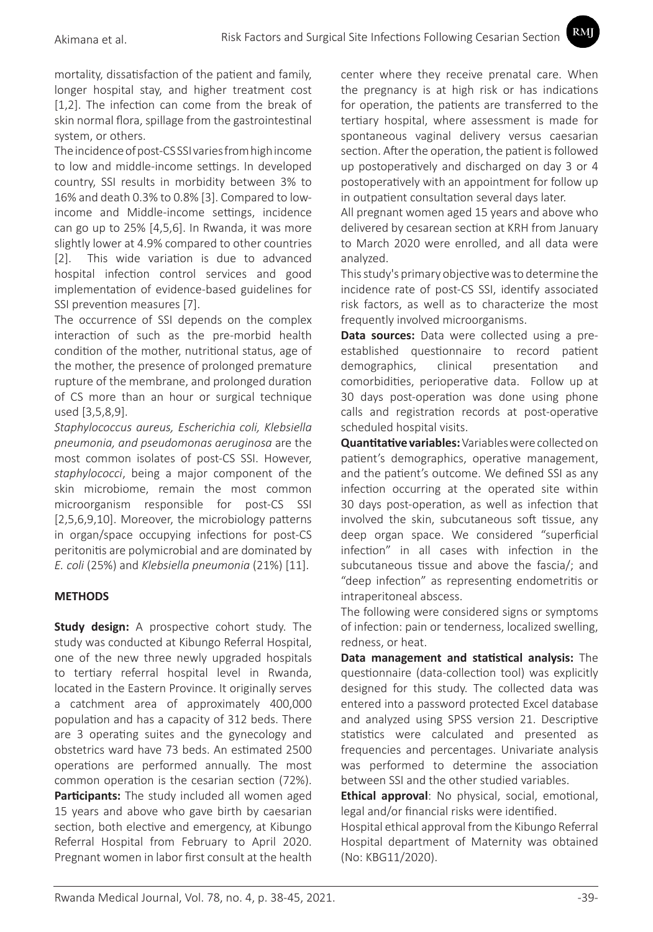mortality, dissatisfaction of the patient and family, longer hospital stay, and higher treatment cost [1,2]. The infection can come from the break of skin normal flora, spillage from the gastrointestinal system, or others.

The incidence of post-CS SSI varies from high income to low and middle-income settings. In developed country, SSI results in morbidity between 3% to 16% and death 0.3% to 0.8% [3]. Compared to lowincome and Middle-income settings, incidence can go up to 25% [4,5,6]. In Rwanda, it was more slightly lower at 4.9% compared to other countries [2]. This wide variation is due to advanced hospital infection control services and good implementation of evidence-based guidelines for SSI prevention measures [7].

The occurrence of SSI depends on the complex interaction of such as the pre-morbid health condition of the mother, nutritional status, age of the mother, the presence of prolonged premature rupture of the membrane, and prolonged duration of CS more than an hour or surgical technique used [3,5,8,9].

*Staphylococcus aureus, Escherichia coli, Klebsiella pneumonia, and pseudomonas aeruginosa* are the most common isolates of post-CS SSI. However, *staphylococci*, being a major component of the skin microbiome, remain the most common microorganism responsible for post-CS SSI [2,5,6,9,10]. Moreover, the microbiology patterns in organ/space occupying infections for post-CS peritonitis are polymicrobial and are dominated by *E. coli* (25%) and *Klebsiella pneumonia* (21%) [11].

## **METHODS**

**Study design:** A prospective cohort study. The study was conducted at Kibungo Referral Hospital, one of the new three newly upgraded hospitals to tertiary referral hospital level in Rwanda, located in the Eastern Province. It originally serves a catchment area of approximately 400,000 population and has a capacity of 312 beds. There are 3 operating suites and the gynecology and obstetrics ward have 73 beds. An estimated 2500 operations are performed annually. The most common operation is the cesarian section (72%). **Participants:** The study included all women aged 15 years and above who gave birth by caesarian section, both elective and emergency, at Kibungo Referral Hospital from February to April 2020. Pregnant women in labor first consult at the health center where they receive prenatal care. When the pregnancy is at high risk or has indications for operation, the patients are transferred to the tertiary hospital, where assessment is made for spontaneous vaginal delivery versus caesarian section. After the operation, the patient is followed up postoperatively and discharged on day 3 or 4 postoperatively with an appointment for follow up in outpatient consultation several days later.

**RMI** 

All pregnant women aged 15 years and above who delivered by cesarean section at KRH from January to March 2020 were enrolled, and all data were analyzed.

This study's primary objective was to determine the incidence rate of post-CS SSI, identify associated risk factors, as well as to characterize the most frequently involved microorganisms.

**Data sources:** Data were collected using a preestablished questionnaire to record patient demographics, clinical presentation and comorbidities, perioperative data. Follow up at 30 days post-operation was done using phone calls and registration records at post-operative scheduled hospital visits.

**Quantitative variables:** Variables were collected on patient's demographics, operative management, and the patient's outcome. We defined SSI as any infection occurring at the operated site within 30 days post-operation, as well as infection that involved the skin, subcutaneous soft tissue, any deep organ space. We considered "superficial infection" in all cases with infection in the subcutaneous tissue and above the fascia/; and "deep infection" as representing endometritis or intraperitoneal abscess.

The following were considered signs or symptoms of infection: pain or tenderness, localized swelling, redness, or heat.

**Data management and statistical analysis:** The questionnaire (data-collection tool) was explicitly designed for this study. The collected data was entered into a password protected Excel database and analyzed using SPSS version 21. Descriptive statistics were calculated and presented as frequencies and percentages. Univariate analysis was performed to determine the association between SSI and the other studied variables.

**Ethical approval**: No physical, social, emotional, legal and/or financial risks were identified.

Hospital ethical approval from the Kibungo Referral Hospital department of Maternity was obtained (No: KBG11/2020).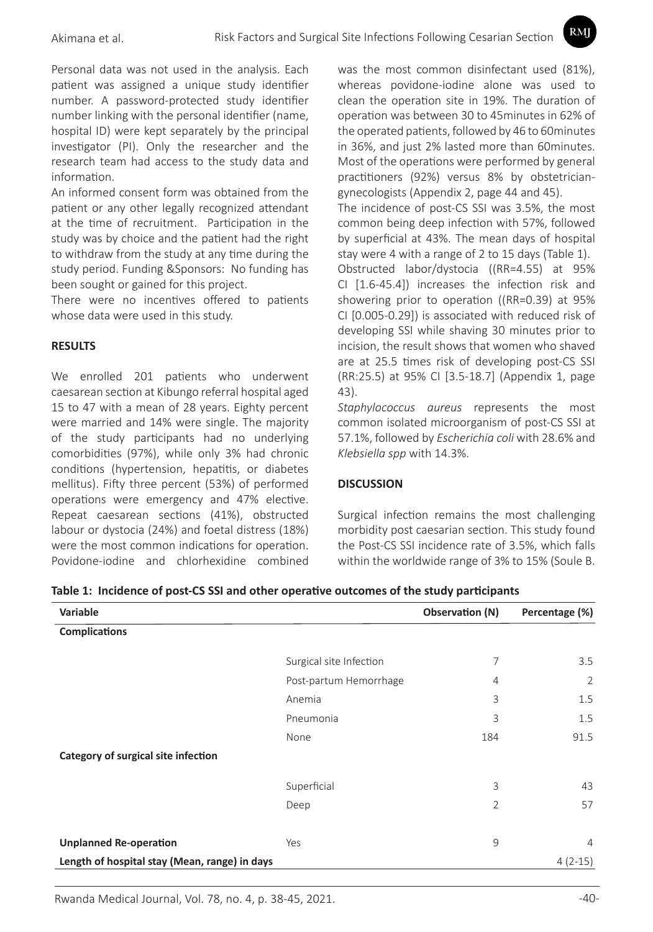Personal data was not used in the analysis. Each patient was assigned a unique study identifier number. A password-protected study identifier number linking with the personal identifier (name, hospital ID) were kept separately by the principal investigator (PI). Only the researcher and the research team had access to the study data and information.

An informed consent form was obtained from the patient or any other legally recognized attendant at the time of recruitment. Participation in the study was by choice and the patient had the right to withdraw from the study at any time during the study period. Funding &Sponsors: No funding has been sought or gained for this project.

There were no incentives offered to patients whose data were used in this study.

## **RESULTS**

We enrolled 201 patients who underwent caesarean section at Kibungo referral hospital aged 15 to 47 with a mean of 28 years. Eighty percent were married and 14% were single. The majority of the study participants had no underlying comorbidities (97%), while only 3% had chronic conditions (hypertension, hepatitis, or diabetes mellitus). Fifty three percent (53%) of performed operations were emergency and 47% elective. Repeat caesarean sections (41%), obstructed labour or dystocia (24%) and foetal distress (18%) were the most common indications for operation. Povidone-iodine and chlorhexidine combined was the most common disinfectant used (81%), whereas povidone-iodine alone was used to clean the operation site in 19%. The duration of operation was between 30 to 45minutes in 62% of the operated patients, followed by 46 to 60minutes in 36%, and just 2% lasted more than 60minutes. Most of the operations were performed by general practitioners (92%) versus 8% by obstetriciangynecologists (Appendix 2, page 44 and 45).

RMI

The incidence of post-CS SSI was 3.5%, the most common being deep infection with 57%, followed by superficial at 43%. The mean days of hospital stay were 4 with a range of 2 to 15 days (Table 1).

Obstructed labor/dystocia ((RR=4.55) at 95% CI [1.6-45.4]) increases the infection risk and showering prior to operation ((RR=0.39) at 95% CI [0.005-0.29]) is associated with reduced risk of developing SSI while shaving 30 minutes prior to incision, the result shows that women who shaved are at 25.5 times risk of developing post-CS SSI (RR:25.5) at 95% CI [3.5-18.7] (Appendix 1, page 43).

*Staphylococcus aureus* represents the most common isolated microorganism of post-CS SSI at 57.1%, followed by *Escherichia coli* with 28.6% and *Klebsiella spp* with 14.3%.

#### **DISCUSSION**

Surgical infection remains the most challenging morbidity post caesarian section. This study found the Post-CS SSI incidence rate of 3.5%, which falls within the worldwide range of 3% to 15% (Soule B.

| Variable                                      |                         | Observation (N) | Percentage (%) |
|-----------------------------------------------|-------------------------|-----------------|----------------|
| <b>Complications</b>                          |                         |                 |                |
|                                               | Surgical site Infection | 7               | 3.5            |
|                                               | Post-partum Hemorrhage  | $\overline{4}$  | 2              |
|                                               | Anemia                  | 3               | 1.5            |
|                                               | Pneumonia               | 3               | 1.5            |
|                                               | None                    | 184             | 91.5           |
| Category of surgical site infection           |                         |                 |                |
|                                               | Superficial             | 3               | 43             |
|                                               | Deep                    | $\overline{2}$  | 57             |
|                                               |                         |                 |                |
| <b>Unplanned Re-operation</b>                 | Yes                     | 9               | $\overline{4}$ |
| Length of hospital stay (Mean, range) in days |                         |                 | $4(2-15)$      |

**Table 1: Incidence of post-CS SSI and other operative outcomes of the study participants**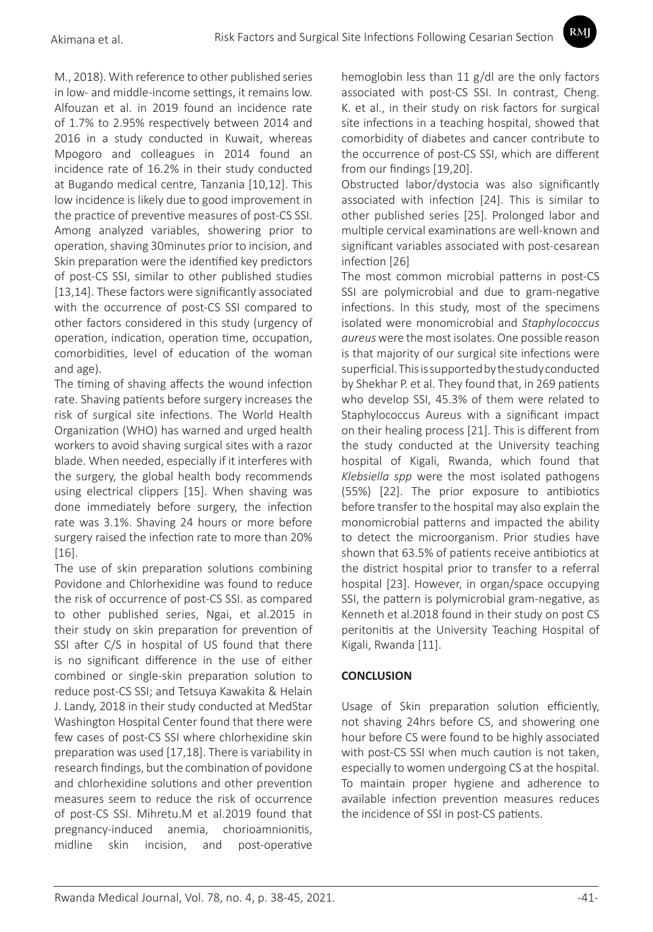M., 2018). With reference to other published series in low- and middle-income settings, it remains low. Alfouzan et al. in 2019 found an incidence rate of 1.7% to 2.95% respectively between 2014 and 2016 in a study conducted in Kuwait, whereas Mpogoro and colleagues in 2014 found an incidence rate of 16.2% in their study conducted at Bugando medical centre, Tanzania [10,12]. This low incidence is likely due to good improvement in the practice of preventive measures of post-CS SSI. Among analyzed variables, showering prior to operation, shaving 30minutes prior to incision, and Skin preparation were the identified key predictors of post-CS SSI, similar to other published studies [13,14]. These factors were significantly associated with the occurrence of post-CS SSI compared to other factors considered in this study (urgency of operation, indication, operation time, occupation, comorbidities, level of education of the woman and age).

The timing of shaving affects the wound infection rate. Shaving patients before surgery increases the risk of surgical site infections. The World Health Organization (WHO) has warned and urged health workers to avoid shaving surgical sites with a razor blade. When needed, especially if it interferes with the surgery, the global health body recommends using electrical clippers [15]. When shaving was done immediately before surgery, the infection rate was 3.1%. Shaving 24 hours or more before surgery raised the infection rate to more than 20% [16].

The use of skin preparation solutions combining Povidone and Chlorhexidine was found to reduce the risk of occurrence of post-CS SSI. as compared to other published series, Ngai, et al.2015 in their study on skin preparation for prevention of SSI after C/S in hospital of US found that there is no significant difference in the use of either combined or single-skin preparation solution to reduce post-CS SSI; and Tetsuya Kawakita & Helain J. Landy, 2018 in their study conducted at MedStar Washington Hospital Center found that there were few cases of post-CS SSI where chlorhexidine skin preparation was used [17,18]. There is variability in research findings, but the combination of povidone and chlorhexidine solutions and other prevention measures seem to reduce the risk of occurrence of post-CS SSI. Mihretu.M et al.2019 found that pregnancy-induced anemia, chorioamnionitis, midline skin incision, and post-operative

hemoglobin less than 11 g/dl are the only factors associated with post-CS SSI. In contrast, Cheng. K. et al., in their study on risk factors for surgical site infections in a teaching hospital, showed that comorbidity of diabetes and cancer contribute to the occurrence of post-CS SSI, which are different from our findings [19,20].

**RMI** 

Obstructed labor/dystocia was also significantly associated with infection [24]. This is similar to other published series [25]. Prolonged labor and multiple cervical examinations are well-known and significant variables associated with post-cesarean infection [26]

The most common microbial patterns in post-CS SSI are polymicrobial and due to gram-negative infections. In this study, most of the specimens isolated were monomicrobial and *Staphylococcus aureus* were the most isolates. One possible reason is that majority of our surgical site infections were superficial. This is supported by the study conducted by Shekhar P. et al. They found that, in 269 patients who develop SSI, 45.3% of them were related to Staphylococcus Aureus with a significant impact on their healing process [21]. This is different from the study conducted at the University teaching hospital of Kigali, Rwanda, which found that *Klebsiella spp* were the most isolated pathogens (55%) [22]. The prior exposure to antibiotics before transfer to the hospital may also explain the monomicrobial patterns and impacted the ability to detect the microorganism. Prior studies have shown that 63.5% of patients receive antibiotics at the district hospital prior to transfer to a referral hospital [23]. However, in organ/space occupying SSI, the pattern is polymicrobial gram-negative, as Kenneth et al.2018 found in their study on post CS peritonitis at the University Teaching Hospital of Kigali, Rwanda [11].

# **CONCLUSION**

Usage of Skin preparation solution efficiently, not shaving 24hrs before CS, and showering one hour before CS were found to be highly associated with post-CS SSI when much caution is not taken, especially to women undergoing CS at the hospital. To maintain proper hygiene and adherence to available infection prevention measures reduces the incidence of SSI in post-CS patients.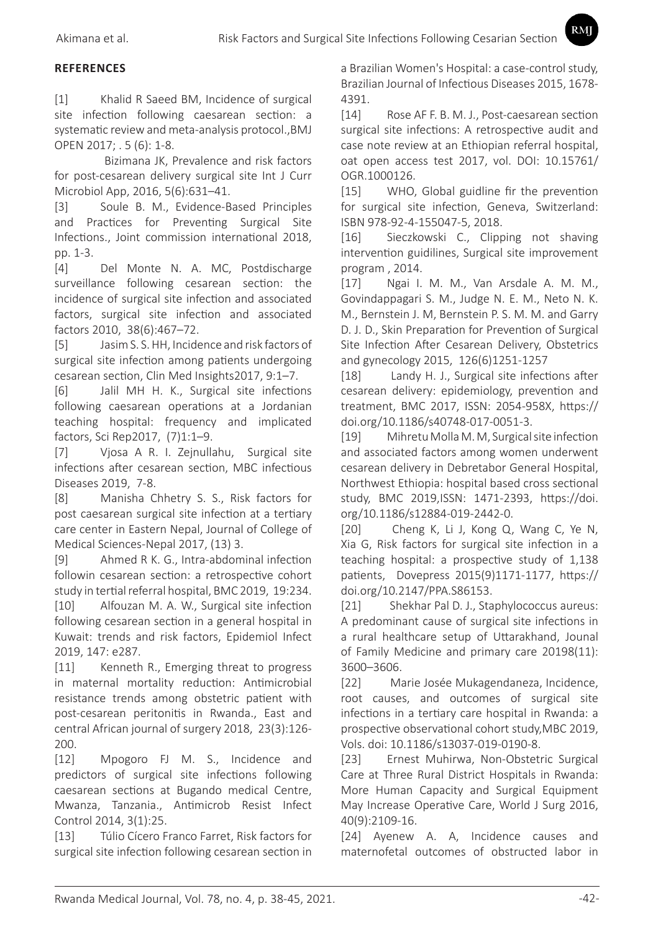## **REFERENCES**

[1] Khalid R Saeed BM, Incidence of surgical site infection following caesarean section: a systematic review and meta-analysis protocol.,BMJ OPEN 2017; . 5 (6): 1-8.

 Bizimana JK, Prevalence and risk factors for post-cesarean delivery surgical site Int J Curr Microbiol App, 2016, 5(6):631–41.

[3] Soule B. M., Evidence-Based Principles and Practices for Preventing Surgical Site Infections., Joint commission international 2018, pp. 1-3.

[4] Del Monte N. A. MC, Postdischarge surveillance following cesarean section: the incidence of surgical site infection and associated factors, surgical site infection and associated factors 2010, 38(6):467–72.

[5] Jasim S. S. HH, Incidence and risk factors of surgical site infection among patients undergoing cesarean section, Clin Med Insights2017, 9:1–7.

[6] Jalil MH H. K., Surgical site infections following caesarean operations at a Jordanian teaching hospital: frequency and implicated factors, Sci Rep2017, (7)1:1–9.

[7] Vjosa A R. I. Zejnullahu, Surgical site infections after cesarean section, MBC infectious Diseases 2019, 7-8.

[8] Manisha Chhetry S. S., Risk factors for post caesarean surgical site infection at a tertiary care center in Eastern Nepal, Journal of College of Medical Sciences-Nepal 2017, (13) 3.

[9] Ahmed R K. G., Intra-abdominal infection followin cesarean section: a retrospective cohort study in tertial referral hospital, BMC 2019, 19:234.

[10] Alfouzan M. A. W., Surgical site infection following cesarean section in a general hospital in Kuwait: trends and risk factors, Epidemiol Infect 2019, 147: e287.

[11] Kenneth R., Emerging threat to progress in maternal mortality reduction: Antimicrobial resistance trends among obstetric patient with post-cesarean peritonitis in Rwanda., East and central African journal of surgery 2018, 23(3):126- 200.

[12] Mpogoro FJ M. S., Incidence and predictors of surgical site infections following caesarean sections at Bugando medical Centre, Mwanza, Tanzania., Antimicrob Resist Infect Control 2014, 3(1):25.

[13] Túlio Cícero Franco Farret, Risk factors for surgical site infection following cesarean section in

a Brazilian Women's Hospital: a case-control study, Brazilian Journal of Infectious Diseases 2015, 1678- 4391.

RMI

[14] Rose AF F. B. M. J., Post-caesarean section surgical site infections: A retrospective audit and case note review at an Ethiopian referral hospital, oat open access test 2017, vol. DOI: 10.15761/ OGR.1000126.

[15] WHO, Global guidline fir the prevention for surgical site infection, Geneva, Switzerland: ISBN 978-92-4-155047-5, 2018.

[16] Sieczkowski C., Clipping not shaving intervention guidilines, Surgical site improvement program , 2014.

[17] Ngai I. M. M., Van Arsdale A. M. M., Govindappagari S. M., Judge N. E. M., Neto N. K. M., Bernstein J. M, Bernstein P. S. M. M. and Garry D. J. D., Skin Preparation for Prevention of Surgical Site Infection After Cesarean Delivery, Obstetrics and gynecology 2015, 126(6)1251-1257

[18] Landy H. J., Surgical site infections after cesarean delivery: epidemiology, prevention and treatment, BMC 2017, ISSN: 2054-958X, https:// doi.org/10.1186/s40748-017-0051-3.

[19] Mihretu Molla M. M, Surgical site infection and associated factors among women underwent cesarean delivery in Debretabor General Hospital, Northwest Ethiopia: hospital based cross sectional study, BMC 2019,ISSN: 1471-2393, https://doi. org/10.1186/s12884-019-2442-0.

[20] Cheng K, Li J, Kong Q, Wang C, Ye N, Xia G, Risk factors for surgical site infection in a teaching hospital: a prospective study of 1,138 patients, Dovepress 2015(9)1171-1177, https:// doi.org/10.2147/PPA.S86153.

[21] Shekhar Pal D. J., Staphylococcus aureus: A predominant cause of surgical site infections in a rural healthcare setup of Uttarakhand, Jounal of Family Medicine and primary care 20198(11): 3600–3606.

[22] Marie Josée Mukagendaneza, Incidence, root causes, and outcomes of surgical site infections in a tertiary care hospital in Rwanda: a prospective observational cohort study,MBC 2019, Vols. doi: 10.1186/s13037-019-0190-8.

[23] Ernest Muhirwa, Non-Obstetric Surgical Care at Three Rural District Hospitals in Rwanda: More Human Capacity and Surgical Equipment May Increase Operative Care, World J Surg 2016, 40(9):2109-16.

[24] Ayenew A. A, Incidence causes and maternofetal outcomes of obstructed labor in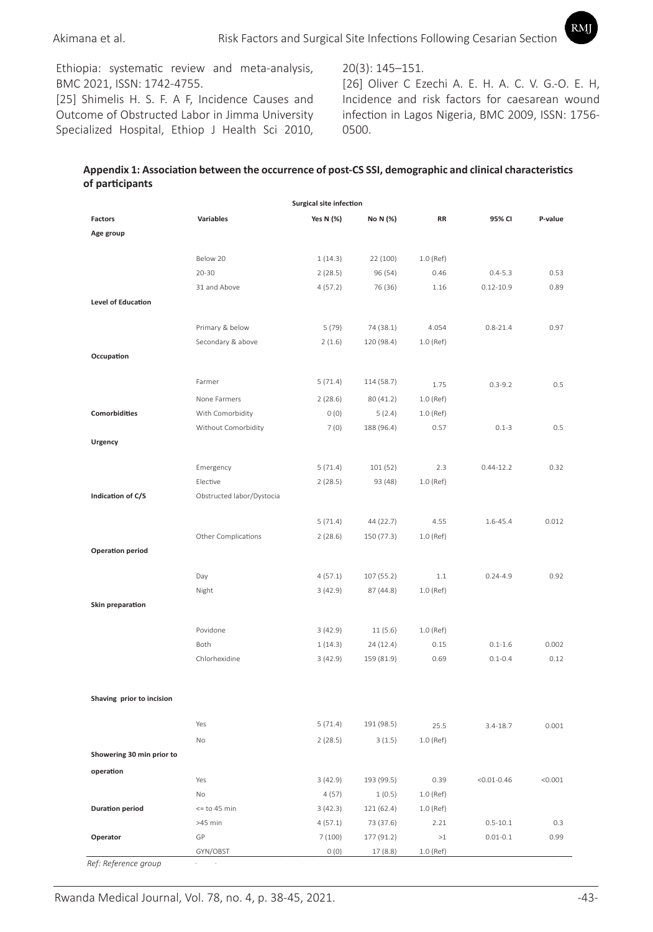Ethiopia: systematic review and meta-analysis, BMC 2021, ISSN: 1742-4755.

[25] Shimelis H. S. F. A F, Incidence Causes and Outcome of Obstructed Labor in Jimma University Specialized Hospital, Ethiop J Health Sci 2010,

20(3): 145–151.

[26] Oliver C Ezechi A. E. H. A. C. V. G.-O. E. H, Incidence and risk factors for caesarean wound infection in Lagos Nigeria, BMC 2009, ISSN: 1756- 0500. Dushime et al. Epidemiology of burns CHUK, Kigali, Rwanda

RMI

## Appendix 1: Association between the occurrence of post-CS SSI, demographic and clinical characteristics **participants of participants**

|                           |                           | <b>Surgical site infection</b> |                         |           |                 |         |
|---------------------------|---------------------------|--------------------------------|-------------------------|-----------|-----------------|---------|
| <b>Factors</b>            | <b>Variables</b>          | Yes N (%)                      | No N (%)                | RR        | 95% CI          | P-value |
| Age group                 |                           |                                |                         |           |                 |         |
|                           |                           |                                |                         |           |                 |         |
|                           | Below 20                  | 1(14.3)                        | 22 (100)                | 1.0 (Ref) |                 |         |
|                           | $20 - 30$                 | 2(28.5)                        | 96 (54)                 | 0.46      | $0.4 - 5.3$     | 0.53    |
|                           | 31 and Above              | 4(57.2)                        | 76 (36)                 | 1.16      | $0.12 - 10.9$   | 0.89    |
| <b>Level of Education</b> |                           |                                |                         |           |                 |         |
|                           | Primary & below           | 5 (79)                         | 74 (38.1)               | 4.054     | $0.8 - 21.4$    | 0.97    |
|                           | Secondary & above         | 2(1.6)                         | 120 (98.4)              | 1.0 (Ref) |                 |         |
| Occupation                |                           |                                |                         |           |                 |         |
|                           |                           |                                |                         |           |                 |         |
|                           | Farmer                    | 5(71.4)                        | 114 (58.7)              | 1.75      | $0.3 - 9.2$     | 0.5     |
|                           | None Farmers              | 2(28.6)                        | 80 (41.2)               | 1.0 (Ref) |                 |         |
| <b>Comorbidities</b>      | With Comorbidity          | O(0)                           | 5(2.4)                  | 1.0 (Ref) |                 |         |
|                           | Without Comorbidity       | 7(0)                           | 188 (96.4)              | 0.57      | $0.1 - 3$       | 0.5     |
| Urgency                   |                           |                                |                         |           |                 |         |
|                           |                           |                                |                         |           |                 |         |
|                           | Emergency                 | 5(71.4)                        | 101 (52)                | 2.3       | $0.44 - 12.2$   | 0.32    |
|                           | Elective                  | 2(28.5)                        | 93 (48)                 | 1.0 (Ref) |                 |         |
| Indication of C/S         | Obstructed labor/Dystocia |                                |                         |           |                 |         |
|                           |                           |                                |                         | 4.55      | 1.6-45.4        | 0.012   |
|                           | Other Complications       | 5(71.4)<br>2(28.6)             | 44 (22.7)<br>150 (77.3) | 1.0 (Ref) |                 |         |
| <b>Operation period</b>   |                           |                                |                         |           |                 |         |
|                           |                           |                                |                         |           |                 |         |
|                           | Day                       | 4(57.1)                        | 107 (55.2)              | 1.1       | $0.24 - 4.9$    | 0.92    |
|                           | Night                     | 3(42.9)                        | 87 (44.8)               | 1.0 (Ref) |                 |         |
| Skin preparation          |                           |                                |                         |           |                 |         |
|                           |                           |                                |                         |           |                 |         |
|                           | Povidone                  | 3(42.9)                        | 11(5.6)                 | 1.0 (Ref) |                 |         |
|                           | Both                      | 1(14.3)                        | 24 (12.4)               | 0.15      | $0.1 - 1.6$     | 0.002   |
|                           | Chlorhexidine             | 3(42.9)                        | 159 (81.9)              | 0.69      | $0.1 - 0.4$     | 0.12    |
|                           |                           |                                |                         |           |                 |         |
| Shaving prior to incision |                           |                                |                         |           |                 |         |
|                           |                           |                                |                         |           |                 |         |
|                           | Yes                       | 5(71.4)                        | 191 (98.5)              | 25.5      | $3.4 - 18.7$    | 0.001   |
|                           | No                        | 2(28.5)                        | 3(1.5)                  | 1.0 (Ref) |                 |         |
| Showering 30 min prior to |                           |                                |                         |           |                 |         |
| operation                 |                           |                                |                         |           |                 |         |
|                           | Yes                       | 3(42.9)                        | 193 (99.5)              | 0.39      | $< 0.01 - 0.46$ | < 0.001 |
|                           | No                        | 4(57)                          | 1(0.5)                  | 1.0 (Ref) |                 |         |
| <b>Duration period</b>    | $<=$ to 45 min            | 3(42.3)                        | 121 (62.4)              | 1.0 (Ref) |                 |         |
|                           | >45 min                   | 4(57.1)                        | 73 (37.6)               | 2.21      | $0.5 - 10.1$    | 0.3     |
| Operator                  | GP                        | 7(100)                         | 177 (91.2)              | ${>}1$    | $0.01 - 0.1$    | 0.99    |
| Ref: Reference group      | GYN/OBST                  | 0(0)                           | 17(8.8)                 | 1.0 (Ref) |                 |         |
|                           |                           |                                |                         |           |                 |         |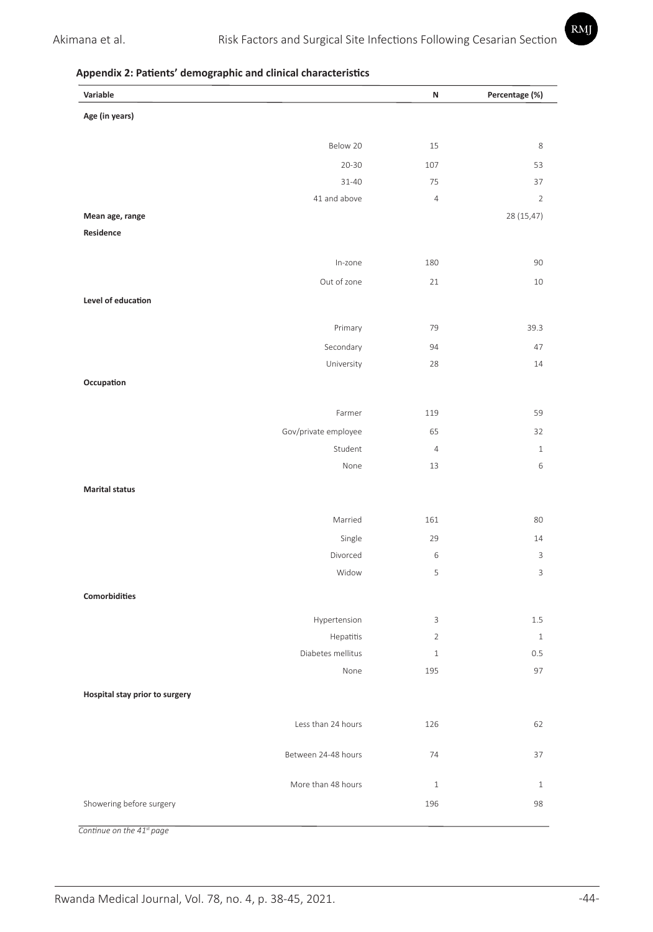## **Appendix 2: Patients' demographic and clinical characteristics**

| Variable                       | Ν                   | Percentage (%) |
|--------------------------------|---------------------|----------------|
| Age (in years)                 |                     |                |
|                                |                     |                |
| Below 20                       | 15                  | 8              |
| $20 - 30$                      | 107                 | 53             |
| $31 - 40$                      | 75                  | 37             |
| 41 and above                   | $\overline{4}$      | $\overline{2}$ |
| Mean age, range<br>Residence   |                     | 28 (15,47)     |
|                                |                     |                |
| In-zone                        | 180                 | 90             |
| Out of zone                    | 21                  | 10             |
| Level of education             |                     |                |
|                                |                     |                |
| Primary                        | 79                  | 39.3           |
| Secondary                      | 94                  | 47             |
| University                     | 28                  | 14             |
| Occupation                     |                     |                |
|                                |                     |                |
| Farmer                         | 119                 | 59             |
| Gov/private employee           | 65                  | 32             |
| Student                        | $\overline{4}$      | $1\,$          |
| None                           | 13                  | 6              |
| <b>Marital status</b>          |                     |                |
|                                |                     |                |
| Married                        | 161                 | 80             |
| Single                         | 29                  | 14             |
| Divorced                       | 6                   | 3              |
| Widow                          | 5                   | 3              |
| Comorbidities                  |                     |                |
|                                |                     |                |
| Hypertension                   | 3<br>$\overline{2}$ | 1.5<br>$\,1\,$ |
| Hepatitis<br>Diabetes mellitus | $\mathbf 1$         | 0.5            |
| None                           | 195                 | 97             |
|                                |                     |                |
| Hospital stay prior to surgery |                     |                |
| Less than 24 hours             | 126                 | 62             |
|                                |                     |                |
| Between 24-48 hours            | 74                  | 37             |
|                                |                     |                |
| More than 48 hours             | $\mathbf{1}$        | $\mathbf{1}$   |
| Showering before surgery       | 196                 | 98             |
| Continue on the 41st page      |                     |                |